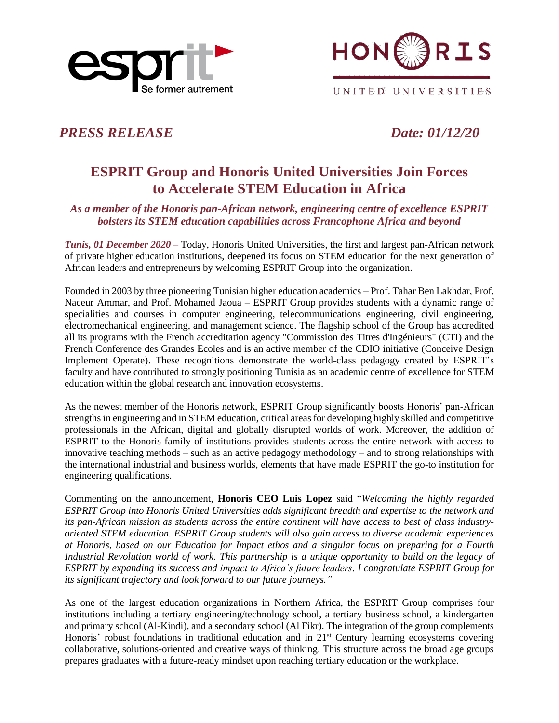



UNITED UNIVERSITIES

*PRESS RELEASE Date: 01/12/20* 

# **ESPRIT Group and Honoris United Universities Join Forces to Accelerate STEM Education in Africa**

*As a member of the Honoris pan-African network, engineering centre of excellence ESPRIT bolsters its STEM education capabilities across Francophone Africa and beyond*

*Tunis, 01 December 2020 –* Today, Honoris United Universities, the first and largest pan-African network of private higher education institutions, deepened its focus on STEM education for the next generation of African leaders and entrepreneurs by welcoming ESPRIT Group into the organization.

Founded in 2003 by three pioneering Tunisian higher education academics – Prof. Tahar Ben Lakhdar, Prof. Naceur Ammar, and Prof. Mohamed Jaoua – ESPRIT Group provides students with a dynamic range of specialities and courses in computer engineering, telecommunications engineering, civil engineering, electromechanical engineering, and management science. The flagship school of the Group has accredited all its programs with the French accreditation agency "Commission des Titres d'Ingénieurs" (CTI) and the French Conference des Grandes Ecoles and is an active member of the CDIO initiative (Conceive Design Implement Operate). These recognitions demonstrate the world-class pedagogy created by ESPRIT's faculty and have contributed to strongly positioning Tunisia as an academic centre of excellence for STEM education within the global research and innovation ecosystems.

As the newest member of the Honoris network, ESPRIT Group significantly boosts Honoris' pan-African strengths in engineering and in STEM education, critical areas for developing highly skilled and competitive professionals in the African, digital and globally disrupted worlds of work. Moreover, the addition of ESPRIT to the Honoris family of institutions provides students across the entire network with access to innovative teaching methods – such as an active pedagogy methodology – and to strong relationships with the international industrial and business worlds, elements that have made ESPRIT the go-to institution for engineering qualifications.

Commenting on the announcement, **Honoris CEO Luis Lopez** said "*Welcoming the highly regarded ESPRIT Group into Honoris United Universities adds significant breadth and expertise to the network and its pan-African mission as students across the entire continent will have access to best of class industryoriented STEM education. ESPRIT Group students will also gain access to diverse academic experiences at Honoris, based on our Education for Impact ethos and a singular focus on preparing for a Fourth Industrial Revolution world of work. This partnership is a unique opportunity to build on the legacy of ESPRIT by expanding its success and impact to Africa's future leaders. I congratulate ESPRIT Group for its significant trajectory and look forward to our future journeys."*

As one of the largest education organizations in Northern Africa, the ESPRIT Group comprises four institutions including a tertiary engineering/technology school, a tertiary business school, a kindergarten and primary school (Al-Kindi), and a secondary school (Al Fikr). The integration of the group complements Honoris' robust foundations in traditional education and in 21<sup>st</sup> Century learning ecosystems covering collaborative, solutions-oriented and creative ways of thinking. This structure across the broad age groups prepares graduates with a future-ready mindset upon reaching tertiary education or the workplace.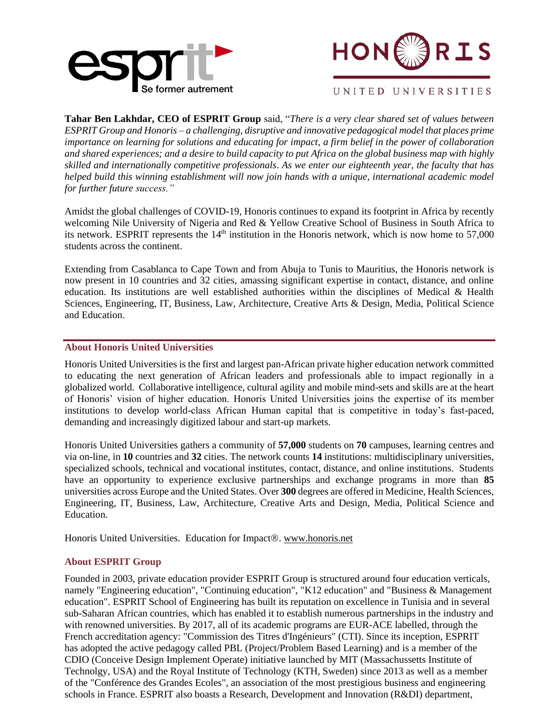



#### UNITED UNIVERSITIES

**Tahar Ben Lakhdar, CEO of ESPRIT Group** said, "*There is a very clear shared set of values between ESPRIT Group and Honoris – a challenging, disruptive and innovative pedagogical model that places prime importance on learning for solutions and educating for impact, a firm belief in the power of collaboration and shared experiences; and a desire to build capacity to put Africa on the global business map with highly skilled and internationally competitive professionals*. *As we enter our eighteenth year, the faculty that has helped build this winning establishment will now join hands with a unique, international academic model for further future success."*

Amidst the global challenges of COVID-19, Honoris continues to expand its footprint in Africa by recently welcoming Nile University of Nigeria and Red & Yellow Creative School of Business in South Africa to its network. ESPRIT represents the  $14<sup>th</sup>$  institution in the Honoris network, which is now home to 57,000 students across the continent.

Extending from Casablanca to Cape Town and from Abuja to Tunis to Mauritius, the Honoris network is now present in 10 countries and 32 cities, amassing significant expertise in contact, distance, and online education. Its institutions are well established authorities within the disciplines of Medical & Health Sciences, Engineering, IT, Business, Law, Architecture, Creative Arts & Design, Media, Political Science and Education.

#### **About Honoris United Universities**

Honoris United Universities is the first and largest pan-African private higher education network committed to educating the next generation of African leaders and professionals able to impact regionally in a globalized world. Collaborative intelligence, cultural agility and mobile mind-sets and skills are at the heart of Honoris' vision of higher education. Honoris United Universities joins the expertise of its member institutions to develop world-class African Human capital that is competitive in today's fast-paced, demanding and increasingly digitized labour and start-up markets.

Honoris United Universities gathers a community of **57,000** students on **70** campuses, learning centres and via on-line, in **10** countries and **32** cities. The network counts **14** institutions: multidisciplinary universities, specialized schools, technical and vocational institutes, contact, distance, and online institutions. Students have an opportunity to experience exclusive partnerships and exchange programs in more than **85**  universities across Europe and the United States. Over **300** degrees are offered in Medicine, Health Sciences, Engineering, IT, Business, Law, Architecture, Creative Arts and Design, Media, Political Science and Education.

Honoris United Universities. Education for Impact®. [www.honoris.net](http://www.honoris.net/)

### **About ESPRIT Group**

Founded in 2003, private education provider ESPRIT Group is structured around four education verticals, namely "Engineering education", "Continuing education", "K12 education" and "Business & Management education". ESPRIT School of Engineering has built its reputation on excellence in Tunisia and in several sub-Saharan African countries, which has enabled it to establish numerous partnerships in the industry and with renowned universities. By 2017, all of its academic programs are EUR-ACE labelled, through the French accreditation agency: "Commission des Titres d'Ingénieurs" (CTI). Since its inception, ESPRIT has adopted the active pedagogy called PBL (Project/Problem Based Learning) and is a member of the CDIO (Conceive Design Implement Operate) initiative launched by MIT (Massachussetts Institute of Technolgy, USA) and the Royal Institute of Technology (KTH, Sweden) since 2013 as well as a member of the "Conférence des Grandes Ecoles", an association of the most prestigious business and engineering schools in France. ESPRIT also boasts a Research, Development and Innovation (R&DI) department,